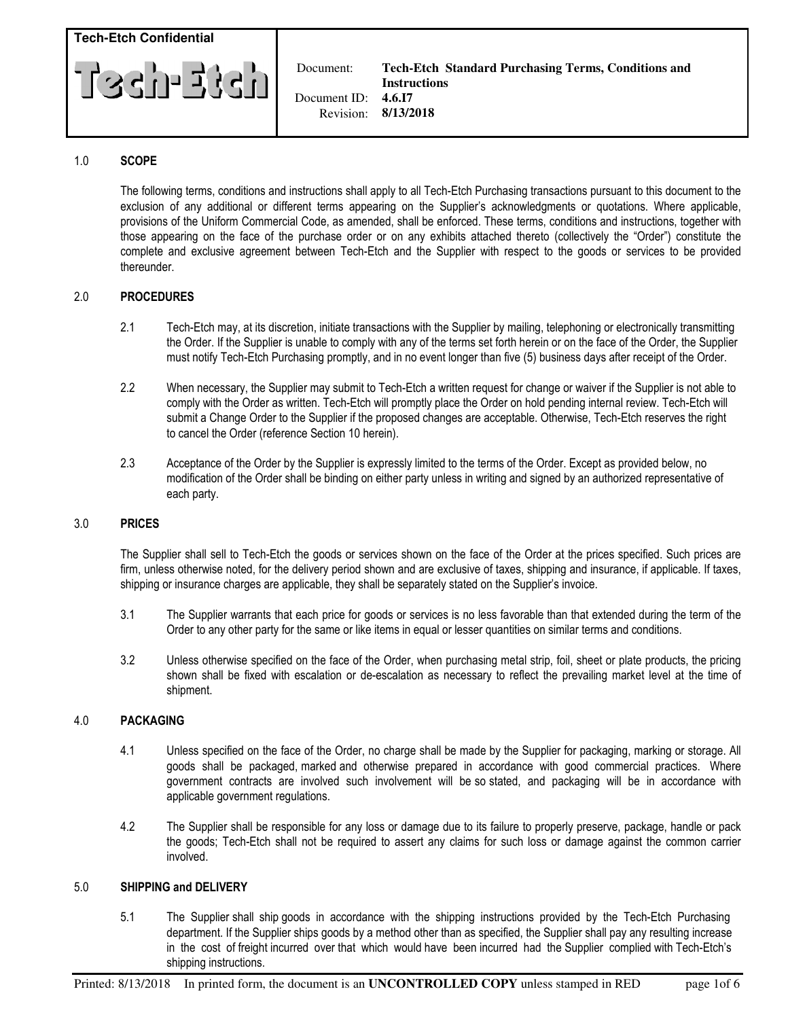

### 1.0 SCOPE

 The following terms, conditions and instructions shall apply to all Tech-Etch Purchasing transactions pursuant to this document to the exclusion of any additional or different terms appearing on the Supplier's acknowledgments or quotations. Where applicable, provisions of the Uniform Commercial Code, as amended, shall be enforced. These terms, conditions and instructions, together with those appearing on the face of the purchase order or on any exhibits attached thereto (collectively the "Order") constitute the complete and exclusive agreement between Tech-Etch and the Supplier with respect to the goods or services to be provided thereunder.

### 2.0 PROCEDURES

- 2.1 Tech-Etch may, at its discretion, initiate transactions with the Supplier by mailing, telephoning or electronically transmitting the Order. If the Supplier is unable to comply with any of the terms set forth herein or on the face of the Order, the Supplier must notify Tech-Etch Purchasing promptly, and in no event longer than five (5) business days after receipt of the Order.
- 2.2 When necessary, the Supplier may submit to Tech-Etch a written request for change or waiver if the Supplier is not able to comply with the Order as written. Tech-Etch will promptly place the Order on hold pending internal review. Tech-Etch will submit a Change Order to the Supplier if the proposed changes are acceptable. Otherwise, Tech-Etch reserves the right to cancel the Order (reference Section 10 herein).
- 2.3 Acceptance of the Order by the Supplier is expressly limited to the terms of the Order. Except as provided below, no modification of the Order shall be binding on either party unless in writing and signed by an authorized representative of each party.

#### 3.0 PRICES

 The Supplier shall sell to Tech-Etch the goods or services shown on the face of the Order at the prices specified. Such prices are firm, unless otherwise noted, for the delivery period shown and are exclusive of taxes, shipping and insurance, if applicable. If taxes, shipping or insurance charges are applicable, they shall be separately stated on the Supplier's invoice.

- 3.1 The Supplier warrants that each price for goods or services is no less favorable than that extended during the term of the Order to any other party for the same or like items in equal or lesser quantities on similar terms and conditions.
- 3.2 Unless otherwise specified on the face of the Order, when purchasing metal strip, foil, sheet or plate products, the pricing shown shall be fixed with escalation or de-escalation as necessary to reflect the prevailing market level at the time of shipment.

#### 4.0 PACKAGING

- 4.1 Unless specified on the face of the Order, no charge shall be made by the Supplier for packaging, marking or storage. All goods shall be packaged, marked and otherwise prepared in accordance with good commercial practices. Where government contracts are involved such involvement will be so stated, and packaging will be in accordance with applicable government regulations.
- 4.2 The Supplier shall be responsible for any loss or damage due to its failure to properly preserve, package, handle or pack the goods; Tech-Etch shall not be required to assert any claims for such loss or damage against the common carrier involved.

#### 5.0 SHIPPING and DELIVERY

 5.1 The Supplier shall ship goods in accordance with the shipping instructions provided by the Tech-Etch Purchasing department. If the Supplier ships goods by a method other than as specified, the Supplier shall pay any resulting increase in the cost of freight incurred over that which would have been incurred had the Supplier complied with Tech-Etch's shipping instructions.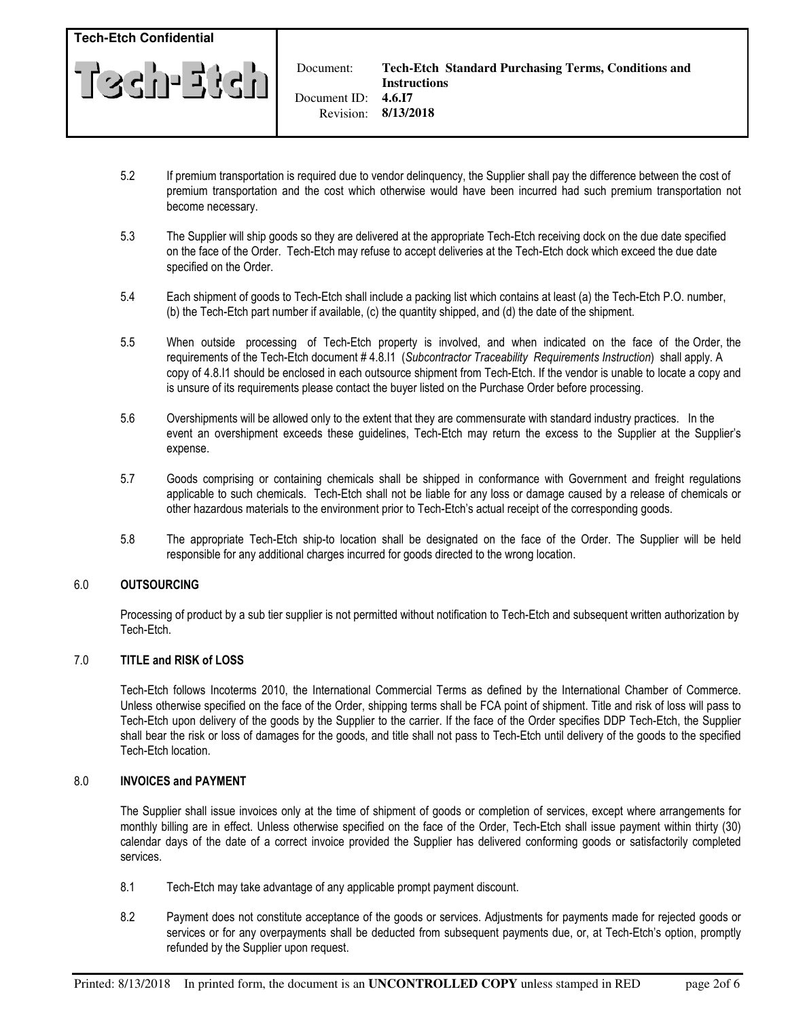

 Document: Document ID:

- 5.2 If premium transportation is required due to vendor delinquency, the Supplier shall pay the difference between the cost of premium transportation and the cost which otherwise would have been incurred had such premium transportation not become necessary.
- 5.3 The Supplier will ship goods so they are delivered at the appropriate Tech-Etch receiving dock on the due date specified on the face of the Order. Tech-Etch may refuse to accept deliveries at the Tech-Etch dock which exceed the due date specified on the Order.
- 5.4 Each shipment of goods to Tech-Etch shall include a packing list which contains at least (a) the Tech-Etch P.O. number, (b) the Tech-Etch part number if available, (c) the quantity shipped, and (d) the date of the shipment.
- 5.5 When outside processing of Tech-Etch property is involved, and when indicated on the face of the Order, the requirements of the Tech-Etch document # 4.8.I1 (Subcontractor Traceability Requirements Instruction) shall apply. A copy of 4.8.I1 should be enclosed in each outsource shipment from Tech-Etch. If the vendor is unable to locate a copy and is unsure of its requirements please contact the buyer listed on the Purchase Order before processing.
- 5.6 Overshipments will be allowed only to the extent that they are commensurate with standard industry practices. In the event an overshipment exceeds these guidelines, Tech-Etch may return the excess to the Supplier at the Supplier's expense.
- 5.7 Goods comprising or containing chemicals shall be shipped in conformance with Government and freight regulations applicable to such chemicals. Tech-Etch shall not be liable for any loss or damage caused by a release of chemicals or other hazardous materials to the environment prior to Tech-Etch's actual receipt of the corresponding goods.
- 5.8 The appropriate Tech-Etch ship-to location shall be designated on the face of the Order. The Supplier will be held responsible for any additional charges incurred for goods directed to the wrong location.

# 6.0 OUTSOURCING

Processing of product by a sub tier supplier is not permitted without notification to Tech-Etch and subsequent written authorization by Tech-Etch.

## 7.0 TITLE and RISK of LOSS

 Tech-Etch follows Incoterms 2010, the International Commercial Terms as defined by the International Chamber of Commerce. Unless otherwise specified on the face of the Order, shipping terms shall be FCA point of shipment. Title and risk of loss will pass to Tech-Etch upon delivery of the goods by the Supplier to the carrier. If the face of the Order specifies DDP Tech-Etch, the Supplier shall bear the risk or loss of damages for the goods, and title shall not pass to Tech-Etch until delivery of the goods to the specified Tech-Etch location.

## 8.0 INVOICES and PAYMENT

 The Supplier shall issue invoices only at the time of shipment of goods or completion of services, except where arrangements for monthly billing are in effect. Unless otherwise specified on the face of the Order, Tech-Etch shall issue payment within thirty (30) calendar days of the date of a correct invoice provided the Supplier has delivered conforming goods or satisfactorily completed services.

- 8.1 Tech-Etch may take advantage of any applicable prompt payment discount.
- 8.2 Payment does not constitute acceptance of the goods or services. Adjustments for payments made for rejected goods or services or for any overpayments shall be deducted from subsequent payments due, or, at Tech-Etch's option, promptly refunded by the Supplier upon request.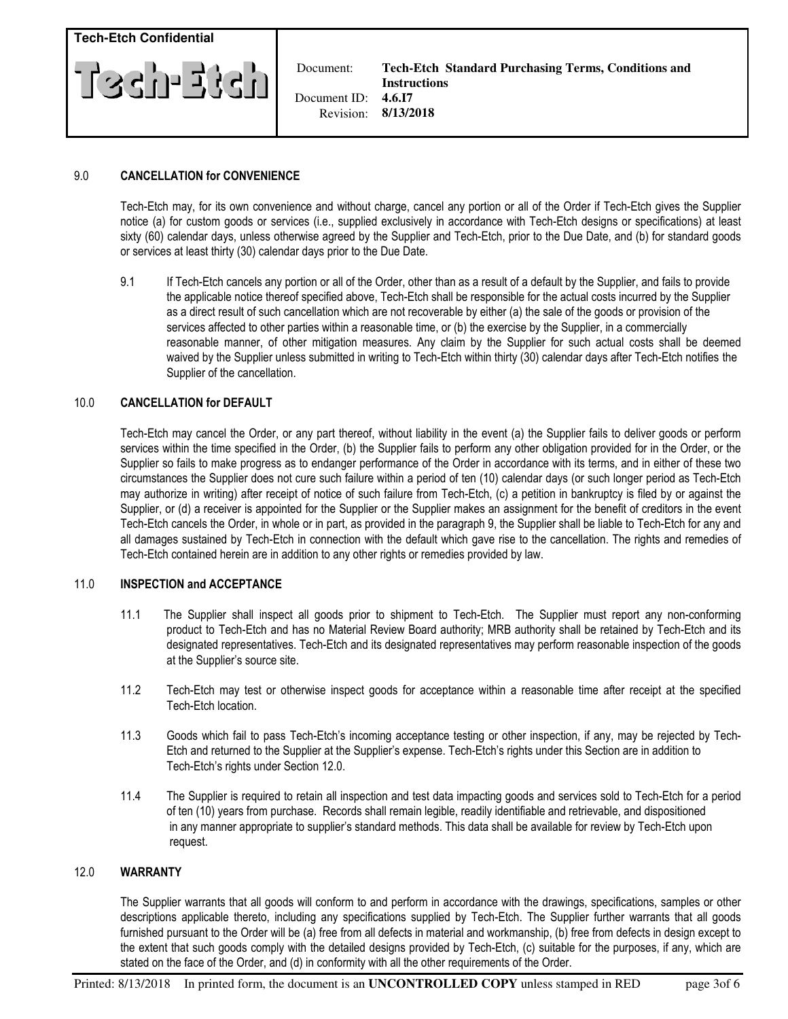

 Document: Document ID:

## 9.0 CANCELLATION for CONVENIENCE

 Tech-Etch may, for its own convenience and without charge, cancel any portion or all of the Order if Tech-Etch gives the Supplier notice (a) for custom goods or services (i.e., supplied exclusively in accordance with Tech-Etch designs or specifications) at least sixty (60) calendar days, unless otherwise agreed by the Supplier and Tech-Etch, prior to the Due Date, and (b) for standard goods or services at least thirty (30) calendar days prior to the Due Date.

 9.1 If Tech-Etch cancels any portion or all of the Order, other than as a result of a default by the Supplier, and fails to provide the applicable notice thereof specified above, Tech-Etch shall be responsible for the actual costs incurred by the Supplier as a direct result of such cancellation which are not recoverable by either (a) the sale of the goods or provision of the services affected to other parties within a reasonable time, or (b) the exercise by the Supplier, in a commercially reasonable manner, of other mitigation measures. Any claim by the Supplier for such actual costs shall be deemed waived by the Supplier unless submitted in writing to Tech-Etch within thirty (30) calendar days after Tech-Etch notifies the Supplier of the cancellation.

# 10.0 CANCELLATION for DEFAULT

 Tech-Etch may cancel the Order, or any part thereof, without liability in the event (a) the Supplier fails to deliver goods or perform services within the time specified in the Order, (b) the Supplier fails to perform any other obligation provided for in the Order, or the Supplier so fails to make progress as to endanger performance of the Order in accordance with its terms, and in either of these two circumstances the Supplier does not cure such failure within a period of ten (10) calendar days (or such longer period as Tech-Etch may authorize in writing) after receipt of notice of such failure from Tech-Etch, (c) a petition in bankruptcy is filed by or against the Supplier, or (d) a receiver is appointed for the Supplier or the Supplier makes an assignment for the benefit of creditors in the event Tech-Etch cancels the Order, in whole or in part, as provided in the paragraph 9, the Supplier shall be liable to Tech-Etch for any and all damages sustained by Tech-Etch in connection with the default which gave rise to the cancellation. The rights and remedies of Tech-Etch contained herein are in addition to any other rights or remedies provided by law.

### 11.0 INSPECTION and ACCEPTANCE

- 11.1 The Supplier shall inspect all goods prior to shipment to Tech-Etch. The Supplier must report any non-conforming product to Tech-Etch and has no Material Review Board authority; MRB authority shall be retained by Tech-Etch and its designated representatives. Tech-Etch and its designated representatives may perform reasonable inspection of the goods at the Supplier's source site.
- 11.2 Tech-Etch may test or otherwise inspect goods for acceptance within a reasonable time after receipt at the specified Tech-Etch location.
- 11.3 Goods which fail to pass Tech-Etch's incoming acceptance testing or other inspection, if any, may be rejected by Tech- Etch and returned to the Supplier at the Supplier's expense. Tech-Etch's rights under this Section are in addition to Tech-Etch's rights under Section 12.0.
- 11.4 The Supplier is required to retain all inspection and test data impacting goods and services sold to Tech-Etch for a period of ten (10) years from purchase. Records shall remain legible, readily identifiable and retrievable, and dispositioned in any manner appropriate to supplier's standard methods. This data shall be available for review by Tech-Etch upon request.

## 12.0 WARRANTY

The Supplier warrants that all goods will conform to and perform in accordance with the drawings, specifications, samples or other descriptions applicable thereto, including any specifications supplied by Tech-Etch. The Supplier further warrants that all goods furnished pursuant to the Order will be (a) free from all defects in material and workmanship, (b) free from defects in design except to the extent that such goods comply with the detailed designs provided by Tech-Etch, (c) suitable for the purposes, if any, which are stated on the face of the Order, and (d) in conformity with all the other requirements of the Order.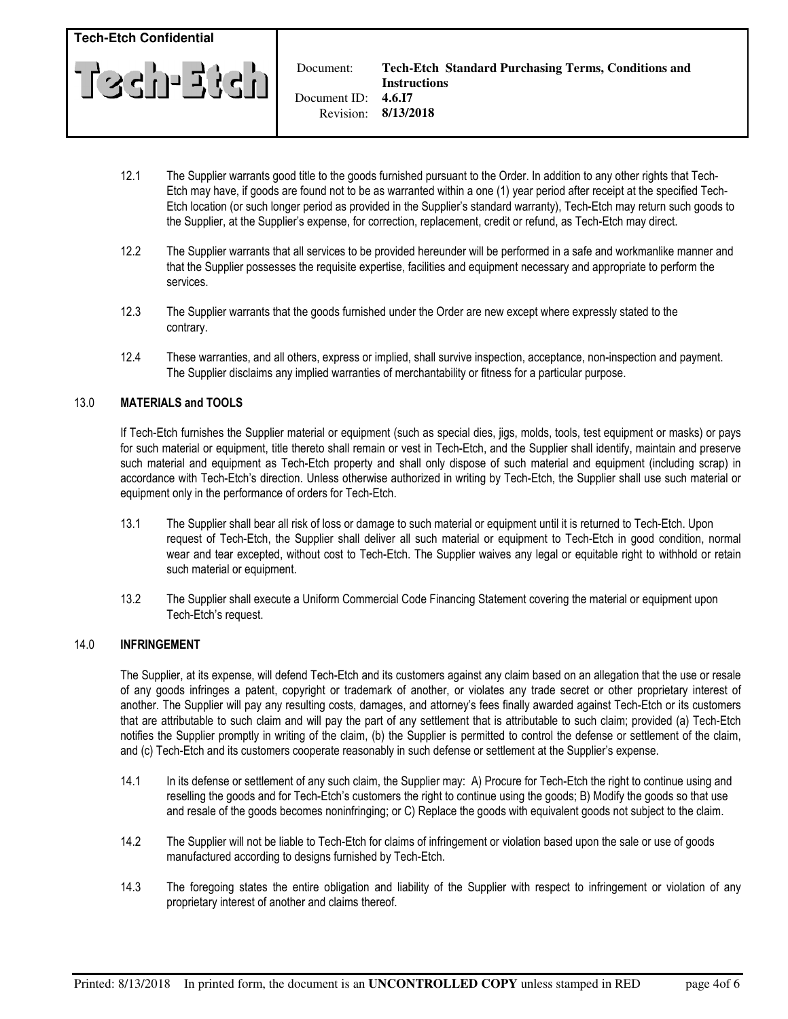

Document:

- 12.1 The Supplier warrants good title to the goods furnished pursuant to the Order. In addition to any other rights that Tech- Etch may have, if goods are found not to be as warranted within a one (1) year period after receipt at the specified Tech- Etch location (or such longer period as provided in the Supplier's standard warranty), Tech-Etch may return such goods to the Supplier, at the Supplier's expense, for correction, replacement, credit or refund, as Tech-Etch may direct.
- 12.2 The Supplier warrants that all services to be provided hereunder will be performed in a safe and workmanlike manner and that the Supplier possesses the requisite expertise, facilities and equipment necessary and appropriate to perform the services.
- 12.3 The Supplier warrants that the goods furnished under the Order are new except where expressly stated to the contrary.
- 12.4 These warranties, and all others, express or implied, shall survive inspection, acceptance, non-inspection and payment. The Supplier disclaims any implied warranties of merchantability or fitness for a particular purpose.

# 13.0 MATERIALS and TOOLS

 If Tech-Etch furnishes the Supplier material or equipment (such as special dies, jigs, molds, tools, test equipment or masks) or pays for such material or equipment, title thereto shall remain or vest in Tech-Etch, and the Supplier shall identify, maintain and preserve such material and equipment as Tech-Etch property and shall only dispose of such material and equipment (including scrap) in accordance with Tech-Etch's direction. Unless otherwise authorized in writing by Tech-Etch, the Supplier shall use such material or equipment only in the performance of orders for Tech-Etch.

- 13.1 The Supplier shall bear all risk of loss or damage to such material or equipment until it is returned to Tech-Etch. Upon request of Tech-Etch, the Supplier shall deliver all such material or equipment to Tech-Etch in good condition, normal wear and tear excepted, without cost to Tech-Etch. The Supplier waives any legal or equitable right to withhold or retain such material or equipment.
- 13.2 The Supplier shall execute a Uniform Commercial Code Financing Statement covering the material or equipment upon Tech-Etch's request.

# 14.0 INFRINGEMENT

 The Supplier, at its expense, will defend Tech-Etch and its customers against any claim based on an allegation that the use or resale of any goods infringes a patent, copyright or trademark of another, or violates any trade secret or other proprietary interest of another. The Supplier will pay any resulting costs, damages, and attorney's fees finally awarded against Tech-Etch or its customers that are attributable to such claim and will pay the part of any settlement that is attributable to such claim; provided (a) Tech-Etch notifies the Supplier promptly in writing of the claim, (b) the Supplier is permitted to control the defense or settlement of the claim, and (c) Tech-Etch and its customers cooperate reasonably in such defense or settlement at the Supplier's expense.

- 14.1 In its defense or settlement of any such claim, the Supplier may: A) Procure for Tech-Etch the right to continue using and reselling the goods and for Tech-Etch's customers the right to continue using the goods; B) Modify the goods so that use and resale of the goods becomes noninfringing; or C) Replace the goods with equivalent goods not subject to the claim.
- 14.2 The Supplier will not be liable to Tech-Etch for claims of infringement or violation based upon the sale or use of goods manufactured according to designs furnished by Tech-Etch.
- 14.3 The foregoing states the entire obligation and liability of the Supplier with respect to infringement or violation of any proprietary interest of another and claims thereof.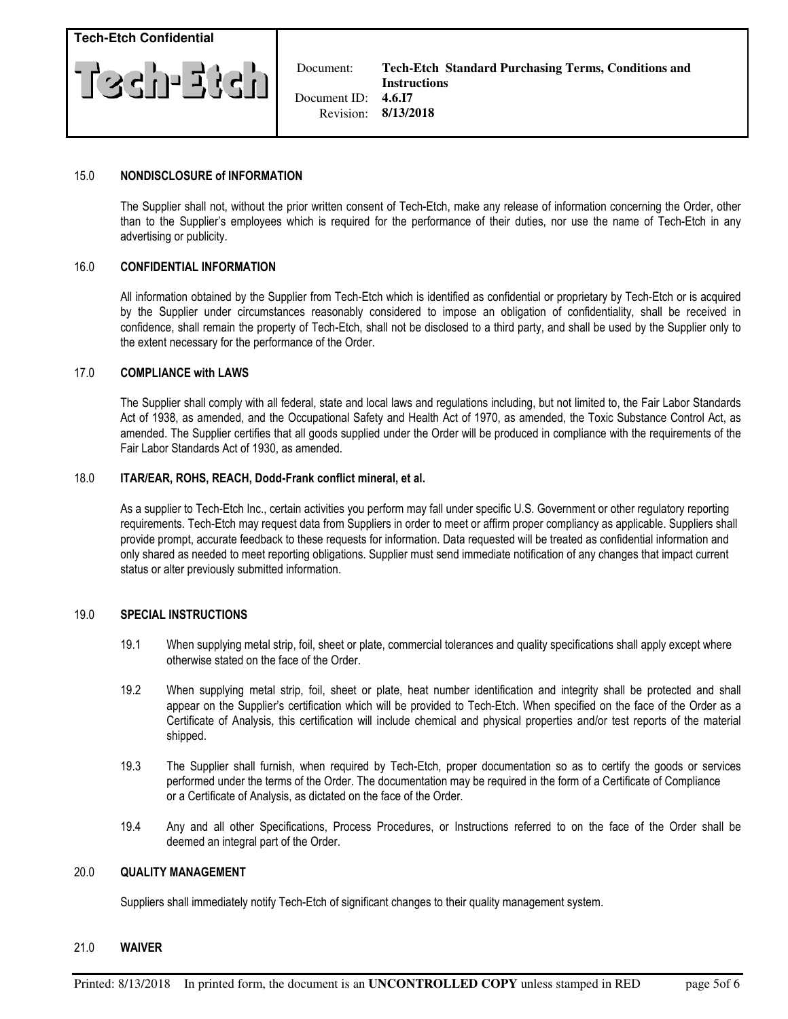

Document:

### 15.0 NONDISCLOSURE of INFORMATION

 The Supplier shall not, without the prior written consent of Tech-Etch, make any release of information concerning the Order, other than to the Supplier's employees which is required for the performance of their duties, nor use the name of Tech-Etch in any advertising or publicity.

### 16.0 CONFIDENTIAL INFORMATION

 All information obtained by the Supplier from Tech-Etch which is identified as confidential or proprietary by Tech-Etch or is acquired by the Supplier under circumstances reasonably considered to impose an obligation of confidentiality, shall be received in confidence, shall remain the property of Tech-Etch, shall not be disclosed to a third party, and shall be used by the Supplier only to the extent necessary for the performance of the Order.

### 17.0 COMPLIANCE with LAWS

 The Supplier shall comply with all federal, state and local laws and regulations including, but not limited to, the Fair Labor Standards Act of 1938, as amended, and the Occupational Safety and Health Act of 1970, as amended, the Toxic Substance Control Act, as amended. The Supplier certifies that all goods supplied under the Order will be produced in compliance with the requirements of the Fair Labor Standards Act of 1930, as amended.

### 18.0 ITAR/EAR, ROHS, REACH, Dodd-Frank conflict mineral, et al.

As a supplier to Tech-Etch Inc., certain activities you perform may fall under specific U.S. Government or other regulatory reporting requirements. Tech-Etch may request data from Suppliers in order to meet or affirm proper compliancy as applicable. Suppliers shall provide prompt, accurate feedback to these requests for information. Data requested will be treated as confidential information and only shared as needed to meet reporting obligations. Supplier must send immediate notification of any changes that impact current status or alter previously submitted information.

### 19.0 SPECIAL INSTRUCTIONS

- 19.1 When supplying metal strip, foil, sheet or plate, commercial tolerances and quality specifications shall apply except where otherwise stated on the face of the Order.
- 19.2 When supplying metal strip, foil, sheet or plate, heat number identification and integrity shall be protected and shall appear on the Supplier's certification which will be provided to Tech-Etch. When specified on the face of the Order as a Certificate of Analysis, this certification will include chemical and physical properties and/or test reports of the material shipped.
- 19.3 The Supplier shall furnish, when required by Tech-Etch, proper documentation so as to certify the goods or services performed under the terms of the Order. The documentation may be required in the form of a Certificate of Compliance or a Certificate of Analysis, as dictated on the face of the Order.
- 19.4 Any and all other Specifications, Process Procedures, or Instructions referred to on the face of the Order shall be deemed an integral part of the Order.

### 20.0 QUALITY MANAGEMENT

Suppliers shall immediately notify Tech-Etch of significant changes to their quality management system.

#### 21.0 WAIVER